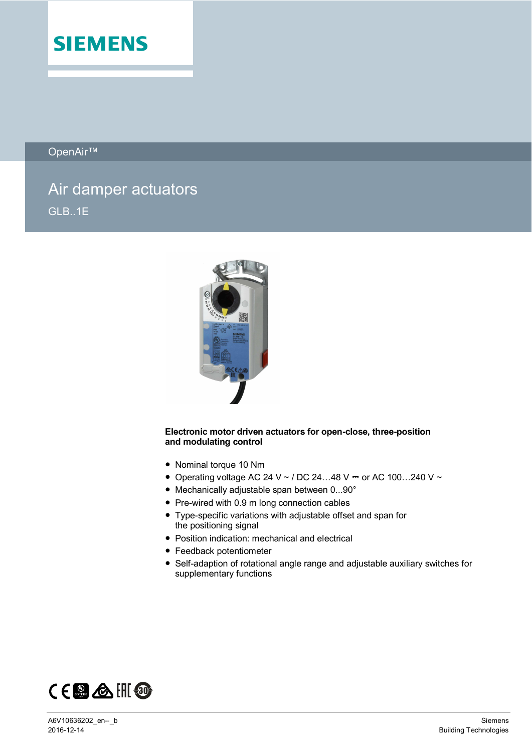

OpenAir™

# Air damper actuators GLB..1E



#### **Electronic motor driven actuators for open-close, three-position and modulating control**

- Nominal torque 10 Nm
- Operating voltage AC 24 V ~ / DC 24...48 V = or AC 100...240 V ~
- Mechanically adjustable span between 0...90°
- Pre-wired with 0.9 m long connection cables
- Type-specific variations with adjustable offset and span for the positioning signal
- Position indication: mechanical and electrical
- Feedback potentiometer
- Self-adaption of rotational angle range and adjustable auxiliary switches for supplementary functions

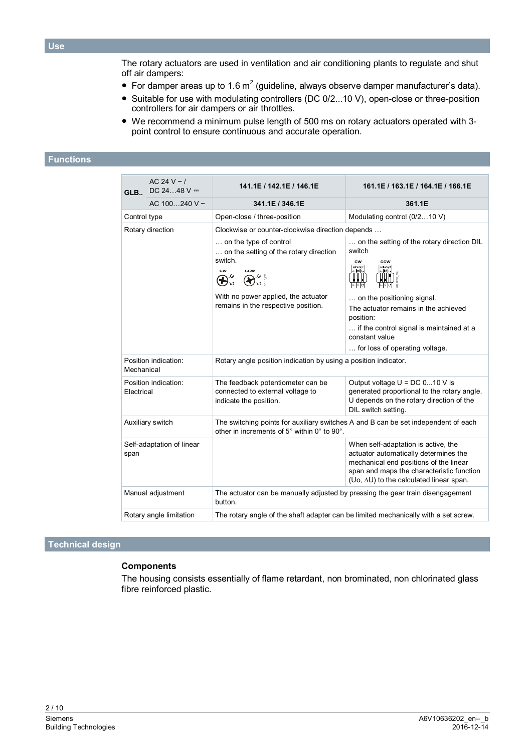The rotary actuators are used in ventilation and air conditioning plants to regulate and shut off air dampers:

- For damper areas up to 1.6 m<sup>2</sup> (guideline, always observe damper manufacturer's data).
- Suitable for use with modulating controllers (DC 0/2...10 V), open-close or three-position controllers for air dampers or air throttles.
- We recommend a minimum pulse length of 500 ms on rotary actuators operated with 3 point control to ensure continuous and accurate operation.

#### **Functions**

| GLB.                               | AC 24 V $\sim$ /<br>DC 2448 $V =$ | 141.1E / 142.1E / 146.1E                                                                                                                                                                                                                 | 161.1E / 163.1E / 164.1E / 166.1E                                                                                                                                                                                                                                               |  |  |  |
|------------------------------------|-----------------------------------|------------------------------------------------------------------------------------------------------------------------------------------------------------------------------------------------------------------------------------------|---------------------------------------------------------------------------------------------------------------------------------------------------------------------------------------------------------------------------------------------------------------------------------|--|--|--|
|                                    | AC 100240 V ~                     | 341.1E / 346.1E                                                                                                                                                                                                                          | 361.1E                                                                                                                                                                                                                                                                          |  |  |  |
| Control type                       |                                   | Open-close / three-position                                                                                                                                                                                                              | Modulating control (0/210 V)                                                                                                                                                                                                                                                    |  |  |  |
| Rotary direction                   |                                   | Clockwise or counter-clockwise direction depends<br>on the type of control<br>on the setting of the rotary direction<br>switch.<br><b>CW</b><br><b>CCW</b><br>With no power applied, the actuator<br>remains in the respective position. | on the setting of the rotary direction DIL<br>switch<br><b>CW</b><br><b>CCW</b><br>selfadapt<br>2   M C<br>selfadant<br>WU<br>$0.0$ $C$<br> 0 C <br>on the positioning signal.<br>The actuator remains in the achieved<br>position:<br>if the control signal is maintained at a |  |  |  |
|                                    |                                   |                                                                                                                                                                                                                                          | constant value<br>for loss of operating voltage.                                                                                                                                                                                                                                |  |  |  |
| Mechanical                         | Position indication:              | Rotary angle position indication by using a position indicator.                                                                                                                                                                          |                                                                                                                                                                                                                                                                                 |  |  |  |
| Position indication:<br>Electrical |                                   | The feedback potentiometer can be<br>connected to external voltage to<br>indicate the position.                                                                                                                                          | Output voltage $U = DC 010 V$ is<br>generated proportional to the rotary angle.<br>U depends on the rotary direction of the<br>DIL switch setting.                                                                                                                              |  |  |  |
| Auxiliary switch                   |                                   | The switching points for auxiliary switches A and B can be set independent of each<br>other in increments of 5° within 0° to 90°.                                                                                                        |                                                                                                                                                                                                                                                                                 |  |  |  |
| span                               | Self-adaptation of linear         |                                                                                                                                                                                                                                          | When self-adaptation is active, the<br>actuator automatically determines the<br>mechanical end positions of the linear<br>span and maps the characteristic function<br>(Uo, $\Delta U$ ) to the calculated linear span.                                                         |  |  |  |
| Manual adjustment                  |                                   | The actuator can be manually adjusted by pressing the gear train disengagement<br>button.                                                                                                                                                |                                                                                                                                                                                                                                                                                 |  |  |  |
|                                    | Rotary angle limitation           | The rotary angle of the shaft adapter can be limited mechanically with a set screw.                                                                                                                                                      |                                                                                                                                                                                                                                                                                 |  |  |  |

# **Technical design**

#### **Components**

The housing consists essentially of flame retardant, non brominated, non chlorinated glass fibre reinforced plastic.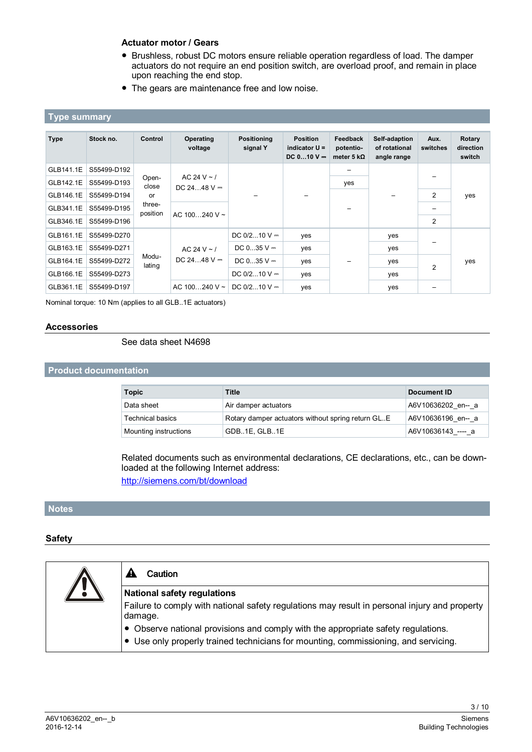## **Actuator motor / Gears**

- Brushless, robust DC motors ensure reliable operation regardless of load. The damper actuators do not require an end position switch, are overload proof, and remain in place upon reaching the end stop.
- The gears are maintenance free and low noise.

## **Type summary**

| <b>Type</b> | Stock no.   | Control                                    | Operating<br>voltage              | <b>Positioning</b><br>signal Y | <b>Position</b><br>indicator $U =$<br>$DC 010 V =$ | Feedback<br>potentio-<br>meter 5 $k\Omega$ | Self-adaption<br>of rotational<br>angle range | Aux.<br>switches | Rotary<br>direction<br>switch |
|-------------|-------------|--------------------------------------------|-----------------------------------|--------------------------------|----------------------------------------------------|--------------------------------------------|-----------------------------------------------|------------------|-------------------------------|
| GLB141.1E   | S55499-D192 |                                            | AC 24 V $\sim$ /<br>DC 2448 $V =$ |                                |                                                    |                                            |                                               |                  |                               |
| GLB142.1E   | S55499-D193 | Open-<br>close<br>or<br>three-<br>position |                                   |                                |                                                    | yes                                        |                                               |                  |                               |
| GLB146.1E   | S55499-D194 |                                            |                                   |                                |                                                    |                                            |                                               | $\overline{2}$   | yes                           |
| GLB341.1E   | S55499-D195 |                                            | AC 100240 V $\sim$                |                                |                                                    |                                            |                                               |                  |                               |
| GLB346.1E   | S55499-D196 |                                            |                                   |                                |                                                    |                                            |                                               | 2                |                               |
| GLB161.1E   | S55499-D270 |                                            |                                   | DC $0/2$ 10 V =                | yes                                                |                                            | yes                                           |                  |                               |
| GLB163.1E   | S55499-D271 | Modu-<br>lating                            | AC 24 V $\sim$ /<br>DC 2448 $V =$ | DC $035$ V $=$                 | yes                                                |                                            | yes                                           | $\overline{2}$   | yes                           |
| GLB164.1E   | S55499-D272 |                                            |                                   | DC $035$ V $=$                 | yes                                                |                                            | yes                                           |                  |                               |
| GLB166.1E   | S55499-D273 |                                            |                                   | DC $0/2$ 10 V =                | yes                                                |                                            | yes                                           |                  |                               |
| GLB361.1E   | S55499-D197 |                                            | AC $100240$ V ~                   | DC $0/2$ 10 V $=$              | yes                                                |                                            | yes                                           |                  |                               |

Nominal torque: 10 Nm (applies to all GLB..1E actuators)

#### **Accessories**

#### See data sheet N4698

## **Product documentation**

| <b>Topic</b>            | Title                                               | Document ID        |
|-------------------------|-----------------------------------------------------|--------------------|
| Data sheet              | Air damper actuators                                | A6V10636202 en-- a |
| <b>Technical basics</b> | Rotary damper actuators without spring return GL. E | A6V10636196 en-- a |
| Mounting instructions   | GDB1E. GLB1E                                        | A6V10636143 ---- a |

Related documents such as environmental declarations, CE declarations, etc., can be downloaded at the following Internet address:

<http://siemens.com/bt/download>

#### **Notes**

#### **Safety**

| Caution                                                                                                  |  |  |  |  |  |
|----------------------------------------------------------------------------------------------------------|--|--|--|--|--|
| National safety regulations                                                                              |  |  |  |  |  |
| Failure to comply with national safety regulations may result in personal injury and property<br>damage. |  |  |  |  |  |
| • Observe national provisions and comply with the appropriate safety regulations.                        |  |  |  |  |  |
| • Use only properly trained technicians for mounting, commissioning, and servicing.                      |  |  |  |  |  |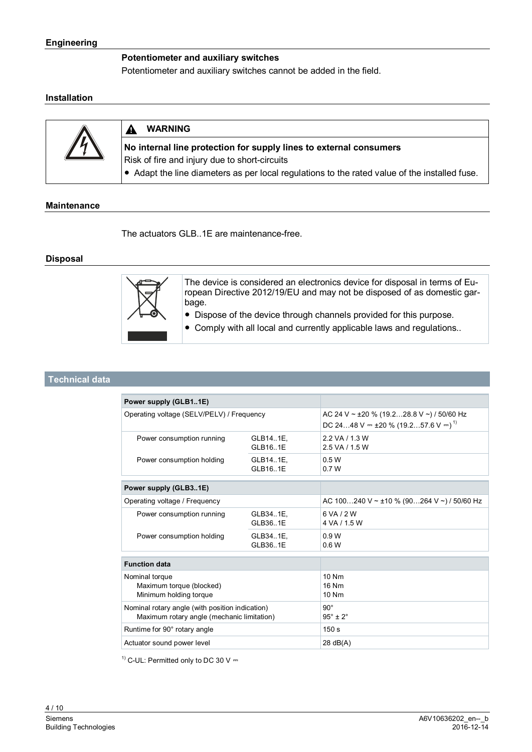#### **Potentiometer and auxiliary switches**

Potentiometer and auxiliary switches cannot be added in the field.

#### **Installation**

| 7.V | <b>WARNING</b>                                                                                                      |
|-----|---------------------------------------------------------------------------------------------------------------------|
|     | No internal line protection for supply lines to external consumers<br>Risk of fire and injury due to short-circuits |
|     | Adapt the line diameters as per local regulations to the rated value of the installed fuse.                         |

## **Maintenance**

The actuators GLB..1E are maintenance-free.

#### **Disposal**



The device is considered an electronics device for disposal in terms of European Directive 2012/19/EU and may not be disposed of as domestic garbage.

- Dispose of the device through channels provided for this purpose.
- Comply with all local and currently applicable laws and regulations..

#### **Technical data**

| Power supply (GLB11E)                                                                         |                      |                                                                                                        |  |  |
|-----------------------------------------------------------------------------------------------|----------------------|--------------------------------------------------------------------------------------------------------|--|--|
| Operating voltage (SELV/PELV) / Frequency                                                     |                      | AC 24 V ~ $\pm 20$ % (19.228.8 V ~) / 50/60 Hz<br>DC 2448 V = $\pm 20$ % (19.257.6 V = ) <sup>1)</sup> |  |  |
| Power consumption running                                                                     | GLB141E.<br>GLB161E  | 2.2 VA / 1.3 W<br>2.5 VA / 1.5 W                                                                       |  |  |
| Power consumption holding                                                                     | GLB14.1E,<br>GLB161E | 0.5W<br>0.7W                                                                                           |  |  |
| Power supply (GLB31E)                                                                         |                      |                                                                                                        |  |  |
| Operating voltage / Frequency                                                                 |                      | AC 100240 V ~ ±10 % (90264 V ~) / 50/60 Hz                                                             |  |  |
| Power consumption running                                                                     | GLB34.1E,<br>GLB361E | 6 VA / 2 W<br>4 VA / 15 W                                                                              |  |  |
| Power consumption holding                                                                     | GLB34.1E,<br>GLB361E | 0.9W<br>0.6W                                                                                           |  |  |
| <b>Function data</b>                                                                          |                      |                                                                                                        |  |  |
| Nominal torque<br>Maximum torque (blocked)<br>Minimum holding torque                          |                      | 10 Nm<br>16 Nm<br>10 Nm                                                                                |  |  |
| Nominal rotary angle (with position indication)<br>Maximum rotary angle (mechanic limitation) |                      | $90^\circ$<br>$95^\circ \pm 2^\circ$                                                                   |  |  |
| Runtime for 90° rotary angle                                                                  |                      | 150 s                                                                                                  |  |  |
| Actuator sound power level                                                                    |                      | $28$ dB(A)                                                                                             |  |  |
|                                                                                               |                      |                                                                                                        |  |  |

 $1)$  C-UL: Permitted only to DC 30 V  $-$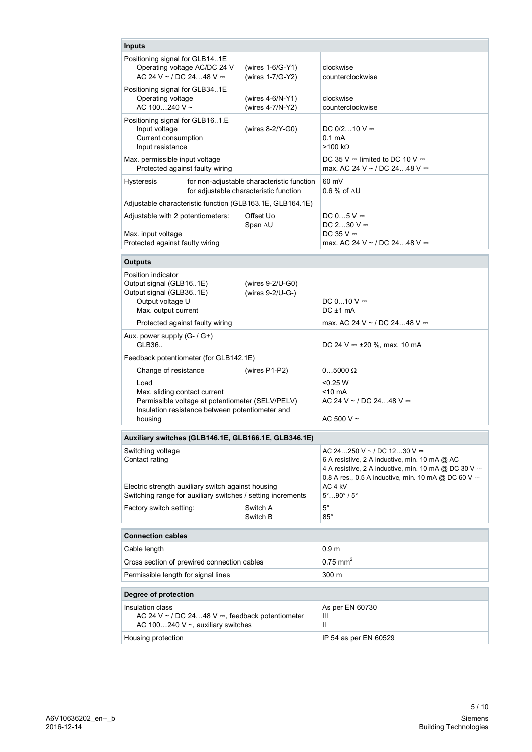| <b>Inputs</b>                                                                                                                                          |                                                                                      |                                                                                                                                                                                              |  |  |  |  |  |
|--------------------------------------------------------------------------------------------------------------------------------------------------------|--------------------------------------------------------------------------------------|----------------------------------------------------------------------------------------------------------------------------------------------------------------------------------------------|--|--|--|--|--|
| Positioning signal for GLB141E<br>Operating voltage AC/DC 24 V<br>AC 24 V ~ / DC 2448 V $=$                                                            | (wires 1-6/G-Y1)<br>(wires 1-7/G-Y2)                                                 | clockwise<br>counterclockwise                                                                                                                                                                |  |  |  |  |  |
| Positioning signal for GLB341E<br>Operating voltage<br>AC 100240 V $\sim$                                                                              | (wires $4-6/N-Y1$ )<br>(wires 4-7/N-Y2)                                              | clockwise<br>counterclockwise                                                                                                                                                                |  |  |  |  |  |
| Positioning signal for GLB161.E<br>Input voltage<br>Current consumption<br>Input resistance                                                            | (wires 8-2/Y-G0)                                                                     | DC $0/210$ V $=$<br>0.1 <sub>m</sub> A<br>$>100$ kΩ                                                                                                                                          |  |  |  |  |  |
| Max. permissible input voltage<br>Protected against faulty wiring                                                                                      |                                                                                      | DC 35 V $=$ limited to DC 10 V $=$<br>max. AC 24 V ~ / DC 2448 V =                                                                                                                           |  |  |  |  |  |
| <b>Hysteresis</b>                                                                                                                                      | for non-adjustable characteristic function<br>for adjustable characteristic function | 60 mV<br>$0.6\%$ of $\Delta U$                                                                                                                                                               |  |  |  |  |  |
| Adjustable characteristic function (GLB163.1E, GLB164.1E)                                                                                              |                                                                                      |                                                                                                                                                                                              |  |  |  |  |  |
| Adjustable with 2 potentiometers:<br>Max. input voltage                                                                                                | Offset Uo<br>Span $\Delta U$                                                         | $DC 05 V =$<br>DC $230V =$<br>DC $35V =$                                                                                                                                                     |  |  |  |  |  |
| Protected against faulty wiring                                                                                                                        |                                                                                      | max. AC 24 V ~ / DC 2448 V =                                                                                                                                                                 |  |  |  |  |  |
| <b>Outputs</b>                                                                                                                                         |                                                                                      |                                                                                                                                                                                              |  |  |  |  |  |
| Position indicator<br>Output signal (GLB161E)<br>Output signal (GLB361E)<br>Output voltage U<br>Max. output current                                    | (wires $9-2$ /U-G0)<br>(wires 9-2/U-G-)                                              | DC $010V =$<br>$DC \pm 1$ mA                                                                                                                                                                 |  |  |  |  |  |
| Protected against faulty wiring                                                                                                                        |                                                                                      | max. AC 24 V ~ / DC 2448 V =                                                                                                                                                                 |  |  |  |  |  |
| Aux. power supply (G- / G+)<br>GLB36                                                                                                                   |                                                                                      | DC 24 V $=$ ±20 %, max. 10 mA                                                                                                                                                                |  |  |  |  |  |
| Feedback potentiometer (for GLB142.1E)                                                                                                                 |                                                                                      |                                                                                                                                                                                              |  |  |  |  |  |
| Change of resistance                                                                                                                                   | (wires $P1-P2$ )                                                                     | $0.05000 \Omega$                                                                                                                                                                             |  |  |  |  |  |
| Load<br>Max. sliding contact current<br>Permissible voltage at potentiometer (SELV/PELV)<br>Insulation resistance between potentiometer and<br>housing |                                                                                      | $<$ 0.25 W<br><10 mA<br>AC 24 V ~ / DC 2448 V =<br>AC 500 V $\sim$                                                                                                                           |  |  |  |  |  |
| Auxiliary switches (GLB146.1E, GLB166.1E, GLB346.1E)                                                                                                   |                                                                                      |                                                                                                                                                                                              |  |  |  |  |  |
| Switching voltage<br>Contact rating                                                                                                                    |                                                                                      | AC 24250 V ~ / DC 1230 V =<br>6 A resistive, 2 A inductive, min. 10 mA @ AC<br>4 A resistive, 2 A inductive, min. 10 mA @ DC 30 V =<br>0.8 A res., 0.5 A inductive, min. 10 mA @ DC 60 V $=$ |  |  |  |  |  |
| Electric strength auxiliary switch against housing<br>Switching range for auxiliary switches / setting increments                                      |                                                                                      | AC 4 kV<br>$5^{\circ}$ 90 $^{\circ}$ / $5^{\circ}$                                                                                                                                           |  |  |  |  |  |
| Factory switch setting:                                                                                                                                | Switch A<br>Switch B                                                                 | $5^\circ$<br>$85^{\circ}$                                                                                                                                                                    |  |  |  |  |  |
| <b>Connection cables</b>                                                                                                                               |                                                                                      |                                                                                                                                                                                              |  |  |  |  |  |
| Cable length                                                                                                                                           |                                                                                      | 0.9 <sub>m</sub>                                                                                                                                                                             |  |  |  |  |  |
| Cross section of prewired connection cables                                                                                                            |                                                                                      | $0.75$ mm <sup>2</sup>                                                                                                                                                                       |  |  |  |  |  |
| Permissible length for signal lines                                                                                                                    |                                                                                      | 300 m                                                                                                                                                                                        |  |  |  |  |  |
| Degree of protection                                                                                                                                   |                                                                                      |                                                                                                                                                                                              |  |  |  |  |  |
| Insulation class<br>AC 24 V ~ / DC 2448 V $=$ , feedback potentiometer<br>AC 100240 V $\sim$ , auxiliary switches                                      |                                                                                      | As per EN 60730<br>Ш<br>$\mathbf{H}$                                                                                                                                                         |  |  |  |  |  |
| Housing protection                                                                                                                                     |                                                                                      | IP 54 as per EN 60529                                                                                                                                                                        |  |  |  |  |  |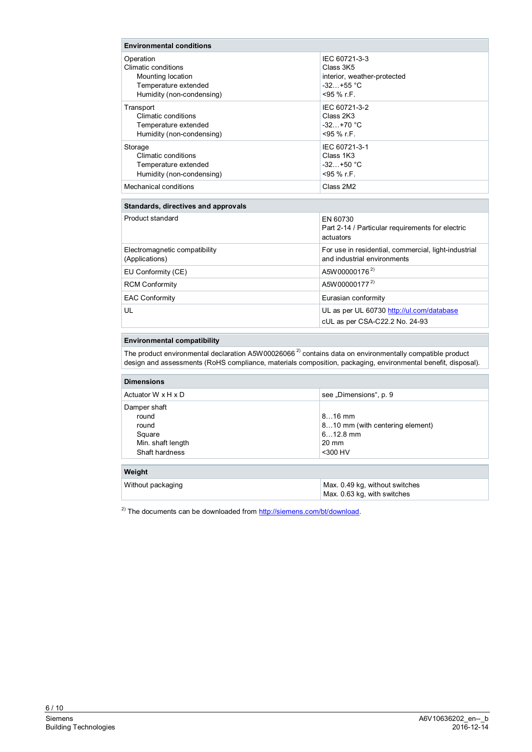| <b>Environmental conditions</b>                                                                            |                                                                                         |  |  |  |  |
|------------------------------------------------------------------------------------------------------------|-----------------------------------------------------------------------------------------|--|--|--|--|
| Operation<br>Climatic conditions<br>Mounting location<br>Temperature extended<br>Humidity (non-condensing) | IEC 60721-3-3<br>Class 3K5<br>interior, weather-protected<br>$-32+55$ °C<br>$<95%$ r.F. |  |  |  |  |
| Transport<br>Climatic conditions<br>Temperature extended<br>Humidity (non-condensing)                      | IEC 60721-3-2<br>Class 2K3<br>$-32 + 70$ °C<br>$<$ 95 % r.F.                            |  |  |  |  |
| Storage<br>Climatic conditions<br>Temperature extended<br>Humidity (non-condensing)                        | IEC 60721-3-1<br>Class 1K3<br>$-32 +50$ °C<br>$<95%$ r.F.                               |  |  |  |  |
| Mechanical conditions                                                                                      | Class 2M2                                                                               |  |  |  |  |
| <b>Standards, directives and approvals</b>                                                                 |                                                                                         |  |  |  |  |
| Product standard                                                                                           | EN 60730<br>Part 2-14 / Particular requirements for electric<br>actuators               |  |  |  |  |
| Electromagnetic compatibility<br>(Applications)                                                            | For use in residential, commercial, light-industrial<br>and industrial environments     |  |  |  |  |
| EU Conformity (CE)                                                                                         | A5W00000176 <sup>2)</sup>                                                               |  |  |  |  |
| <b>RCM Conformity</b>                                                                                      | A5W00000177 <sup>2)</sup>                                                               |  |  |  |  |
| <b>EAC Conformity</b>                                                                                      | Eurasian conformity                                                                     |  |  |  |  |
| UL                                                                                                         | UL as per UL 60730 http://ul.com/database<br>cUL as per CSA-C22.2 No. 24-93             |  |  |  |  |
| Environmental comnatibility                                                                                |                                                                                         |  |  |  |  |

#### **Environmental compatibility**

The product environmental declaration A5W00026066<sup>2)</sup> contains data on environmentally compatible product design and assessments (RoHS compliance, materials composition, packaging, environmental benefit, disposal).

| <b>Dimensions</b>                                                               |                                                                                            |
|---------------------------------------------------------------------------------|--------------------------------------------------------------------------------------------|
| Actuator W x H x D                                                              | see "Dimensions", p. 9                                                                     |
| Damper shaft<br>round<br>round<br>Square<br>Min. shaft length<br>Shaft hardness | $816$ mm<br>810 mm (with centering element)<br>$612.8$ mm<br>$20 \text{ mm}$<br>$<$ 300 HV |
| Weight                                                                          |                                                                                            |
| Without packaging                                                               | Max. 0.49 kg, without switches                                                             |

Max. 0.63 kg, with switches

 $^{2)}$  The documents can be downloaded from [http://siemens.com/bt/download.](http://siemens.com/bt/download)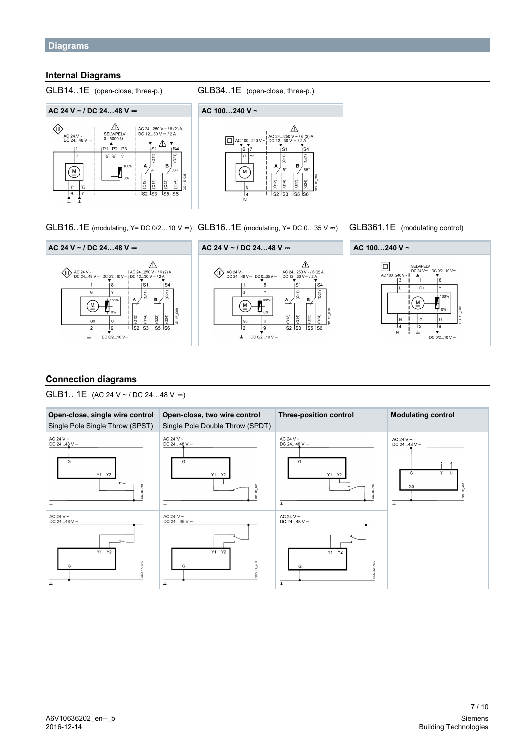#### **Internal Diagrams**



GLB14..1E (open-close, three-p.) GLB34..1E (open-close, three-p.)



GLB16..1E (modulating, Y= DC 0/2...10 V = ) GLB16..1E (modulating, Y= DC 0...35 V = ) GLB361.1E (modulating control)

 $\triangle$ 

à

 $24$ 

 $\frac{1}{55}$   $\frac{1}{56}$ 

 $\frac{1}{52}$   $\frac{1}{53}$ 





## **Connection diagrams**

 $\bigotimes_{DC}$  AC 24 V ~<br>DC 24...48 V = DC 02...10 V

ÌЯ

ΤY

Ιu

tg

 $DC$  0/2...10 V =

 $\overline{11}$ 

 $\overline{c}$ 

⋐

 $\vert$ <sub>GO</sub>

 $\frac{1}{2}$ 

 $\perp$ 

GLB1.. 1E  $(AC 24 V \sim /DC 24...48 V = )$ 

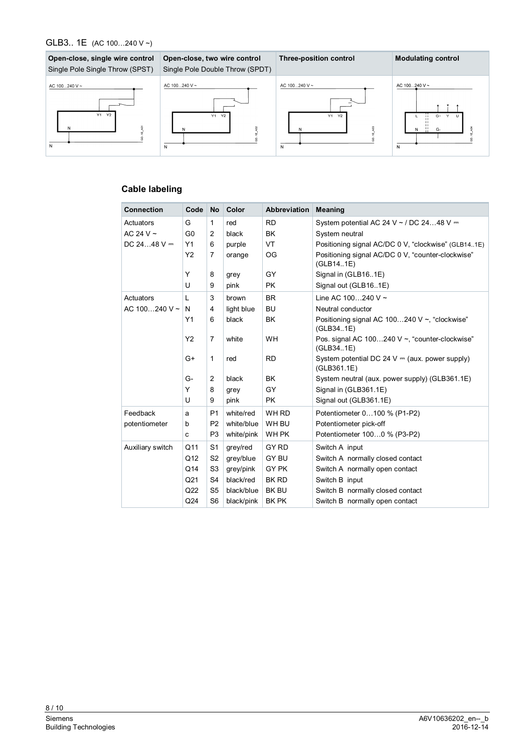#### GLB3.. 1E (AC 100…240 V ~)



# **Cable labeling**

| <b>Connection</b>  | Code            | <b>No</b>      | Color      | <b>Abbreviation</b> | <b>Meaning</b>                                                 |
|--------------------|-----------------|----------------|------------|---------------------|----------------------------------------------------------------|
| Actuators          | G               | 1              | red        | <b>RD</b>           | System potential AC 24 V ~ / DC 2448 V $=$                     |
| AC 24 V $\sim$     | G <sub>0</sub>  | 2              | black      | <b>BK</b>           | System neutral                                                 |
| DC 2448 $V =$      | Y1              | 6              | purple     | VT                  | Positioning signal AC/DC 0 V, "clockwise" (GLB141E)            |
|                    | Y2              | 7              | orange     | OG                  | Positioning signal AC/DC 0 V, "counter-clockwise"<br>(GLB141E) |
|                    | Y               | 8              | grey       | GY                  | Signal in (GLB16.1E)                                           |
|                    | U               | 9              | pink       | <b>PK</b>           | Signal out (GLB161E)                                           |
| Actuators          | L               | 3              | brown      | <b>BR</b>           | Line AC 100240 V $\sim$                                        |
| AC 100240 V $\sim$ | N               | 4              | light blue | <b>BU</b>           | Neutral conductor                                              |
|                    | Y1              | 6              | black      | <b>BK</b>           | Positioning signal AC 100240 V ~, "clockwise"<br>(GLB341E)     |
|                    | Y2              | $\overline{7}$ | white      | <b>WH</b>           | Pos. signal AC 100240 V ~, "counter-clockwise"<br>(GLB34.1E)   |
|                    | G+              | 1              | red        | <b>RD</b>           | System potential DC 24 V = (aux. power supply)<br>(GLB361.1E)  |
|                    | G-              | $\overline{2}$ | black      | <b>BK</b>           | System neutral (aux. power supply) (GLB361.1E)                 |
|                    | Y               | 8              | grey       | GY                  | Signal in (GLB361.1E)                                          |
|                    | U               | 9              | pink       | <b>PK</b>           | Signal out (GLB361.1E)                                         |
| Feedback           | a               | P <sub>1</sub> | white/red  | WH RD               | Potentiometer 0100 % (P1-P2)                                   |
| potentiometer      | b               | P <sub>2</sub> | white/blue | WH BU               | Potentiometer pick-off                                         |
|                    | C               | P <sub>3</sub> | white/pink | WH PK               | Potentiometer 1000 % (P3-P2)                                   |
| Auxiliary switch   | Q11             | S <sub>1</sub> | grey/red   | GY RD               | Switch A input                                                 |
|                    | Q12             | S <sub>2</sub> | grey/blue  | <b>GY BU</b>        | Switch A normally closed contact                               |
|                    | Q14             | S <sub>3</sub> | grey/pink  | GY PK               | Switch A normally open contact                                 |
|                    | Q <sub>21</sub> | S <sub>4</sub> | black/red  | <b>BK RD</b>        | Switch B input                                                 |
|                    | Q22             | S <sub>5</sub> | black/blue | <b>BK BU</b>        | Switch B normally closed contact                               |
|                    | Q24             | S <sub>6</sub> | black/pink | <b>BK PK</b>        | Switch B normally open contact                                 |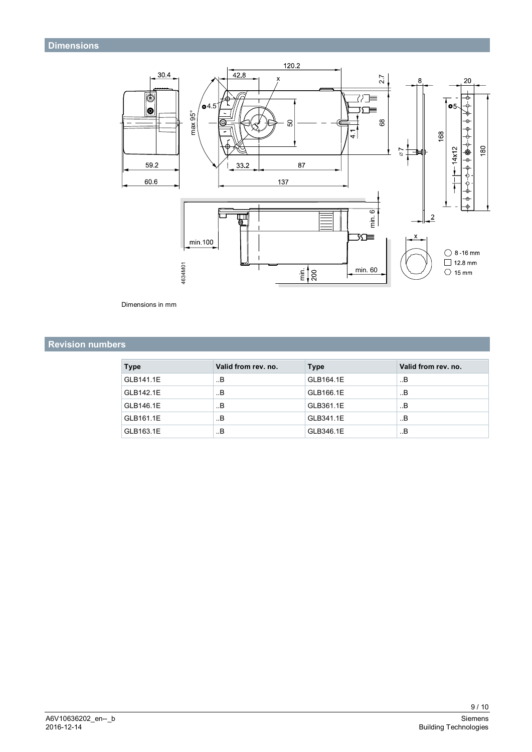<span id="page-8-0"></span>

Dimensions in mm

# **Revision numbers**

| <b>Type</b> | Valid from rev. no. | <b>Type</b> | Valid from rev. no. |
|-------------|---------------------|-------------|---------------------|
| GLB141.1E   | В                   | GLB164.1E   | . В                 |
| GLB142.1E   | В                   | GLB166.1E   | В                   |
| GLB146.1E   | В                   | GLB361.1E   | В                   |
| GLB161.1E   | В                   | GLB341.1E   | В                   |
| GLB163.1E   | В                   | GLB346.1E   | В                   |